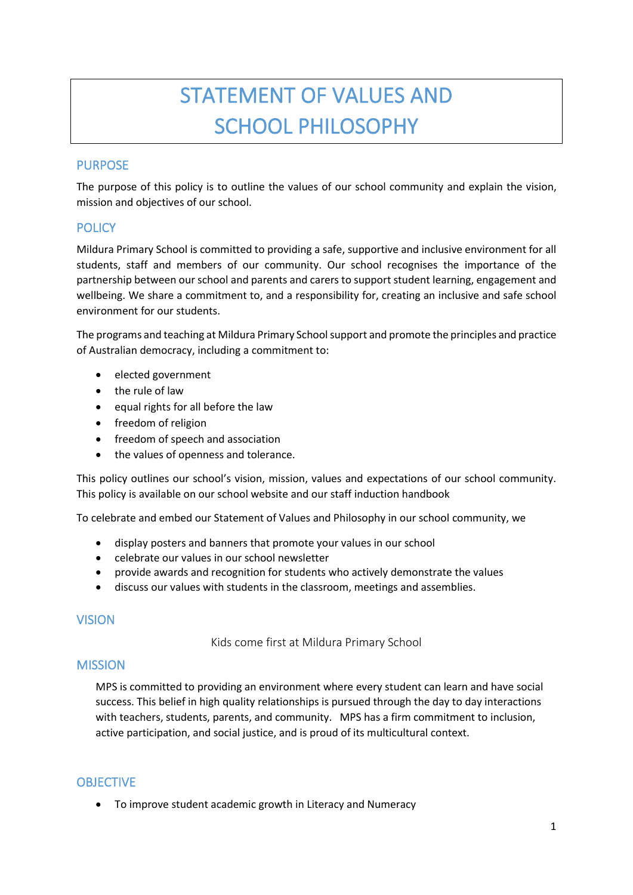# STATEMENT OF VALUES AND SCHOOL PHILOSOPHY

# PURPOSE

The purpose of this policy is to outline the values of our school community and explain the vision, mission and objectives of our school.

# **POLICY**

Mildura Primary School is committed to providing a safe, supportive and inclusive environment for all students, staff and members of our community. Our school recognises the importance of the partnership between our school and parents and carers to support student learning, engagement and wellbeing. We share a commitment to, and a responsibility for, creating an inclusive and safe school environment for our students.

The programs and teaching at Mildura Primary Schoolsupport and promote the principles and practice of Australian democracy, including a commitment to:

- elected government
- the rule of law
- equal rights for all before the law
- freedom of religion
- freedom of speech and association
- the values of openness and tolerance.

This policy outlines our school's vision, mission, values and expectations of our school community. This policy is available on our school website and our staff induction handbook

To celebrate and embed our Statement of Values and Philosophy in our school community, we

- display posters and banners that promote your values in our school
- celebrate our values in our school newsletter
- provide awards and recognition for students who actively demonstrate the values
- discuss our values with students in the classroom, meetings and assemblies.

#### VISION

Kids come first at Mildura Primary School

## **MISSION**

MPS is committed to providing an environment where every student can learn and have social success. This belief in high quality relationships is pursued through the day to day interactions with teachers, students, parents, and community. MPS has a firm commitment to inclusion, active participation, and social justice, and is proud of its multicultural context.

## **OBJECTIVE**

• To improve student academic growth in Literacy and Numeracy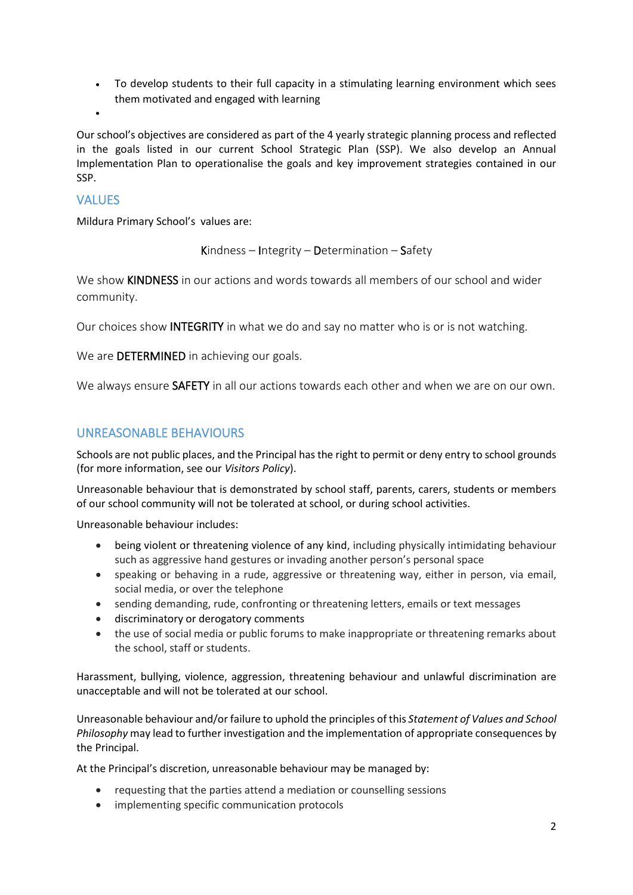- To develop students to their full capacity in a stimulating learning environment which sees them motivated and engaged with learning
- •

Our school's objectives are considered as part of the 4 yearly strategic planning process and reflected in the goals listed in our current School Strategic Plan (SSP). We also develop an Annual Implementation Plan to operationalise the goals and key improvement strategies contained in our SSP.

## **VALUES**

Mildura Primary School's values are:

Kindness – Integrity – Determination – Safety

We show KINDNESS in our actions and words towards all members of our school and wider community.

Our choices show INTEGRITY in what we do and say no matter who is or is not watching.

We are DETERMINED in achieving our goals.

We always ensure **SAFETY** in all our actions towards each other and when we are on our own.

# UNREASONABLE BEHAVIOURS

Schools are not public places, and the Principal has the right to permit or deny entry to school grounds (for more information, see our *Visitors Policy*).

Unreasonable behaviour that is demonstrated by school staff, parents, carers, students or members of our school community will not be tolerated at school, or during school activities.

Unreasonable behaviour includes:

- being violent or threatening violence of any kind, including physically intimidating behaviour such as aggressive hand gestures or invading another person's personal space
- speaking or behaving in a rude, aggressive or threatening way, either in person, via email, social media, or over the telephone
- sending demanding, rude, confronting or threatening letters, emails or text messages
- discriminatory or derogatory comments
- the use of social media or public forums to make inappropriate or threatening remarks about the school, staff or students.

Harassment, bullying, violence, aggression, threatening behaviour and unlawful discrimination are unacceptable and will not be tolerated at our school.

Unreasonable behaviour and/or failure to uphold the principles of this *Statement of Values and School Philosophy* may lead to further investigation and the implementation of appropriate consequences by the Principal.

At the Principal's discretion, unreasonable behaviour may be managed by:

- requesting that the parties attend a mediation or counselling sessions
- implementing specific communication protocols